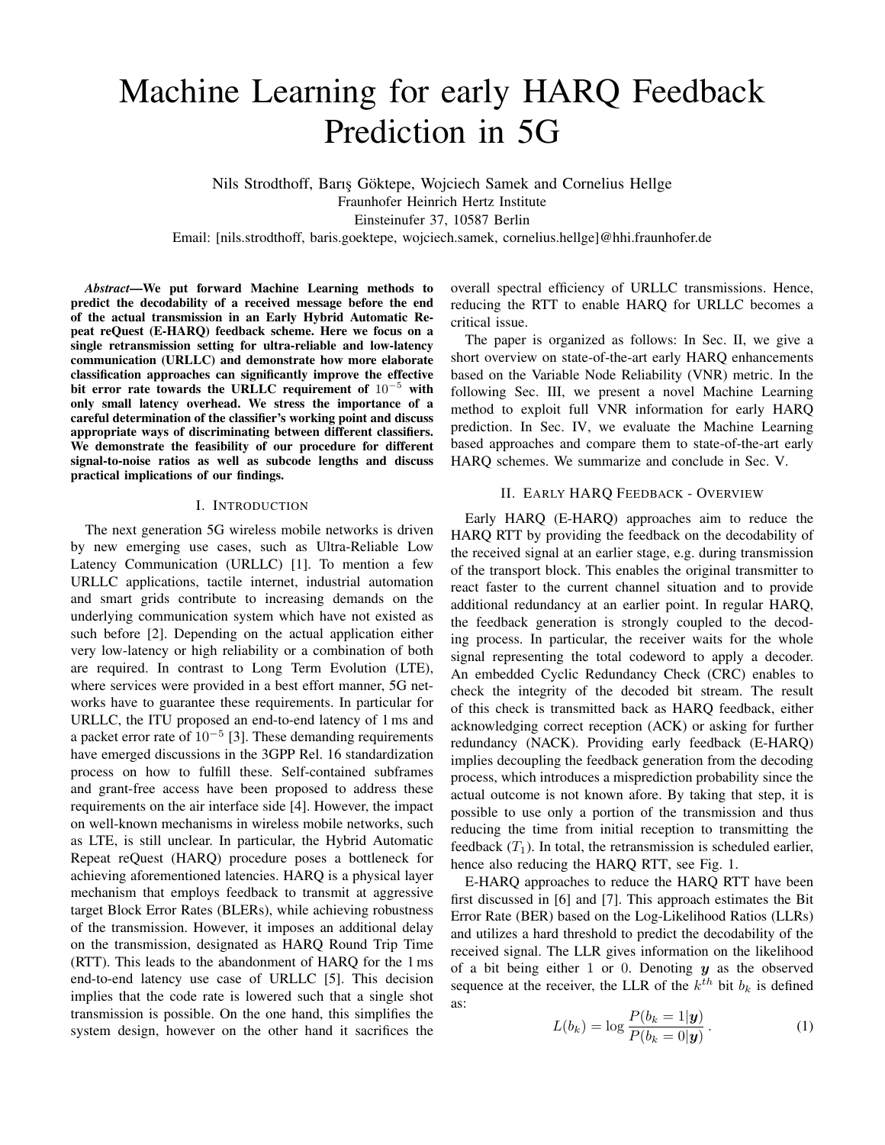# Machine Learning for early HARQ Feedback Prediction in 5G

Nils Strodthoff, Barıs Göktepe, Wojciech Samek and Cornelius Hellge Fraunhofer Heinrich Hertz Institute Einsteinufer 37, 10587 Berlin Email: [nils.strodthoff, baris.goektepe, wojciech.samek, cornelius.hellge]@hhi.fraunhofer.de

*Abstract*—We put forward Machine Learning methods to predict the decodability of a received message before the end of the actual transmission in an Early Hybrid Automatic Repeat reQuest (E-HARQ) feedback scheme. Here we focus on a single retransmission setting for ultra-reliable and low-latency communication (URLLC) and demonstrate how more elaborate classification approaches can significantly improve the effective bit error rate towards the URLLC requirement of  $10^{-5}$  with only small latency overhead. We stress the importance of a careful determination of the classifier's working point and discuss appropriate ways of discriminating between different classifiers. We demonstrate the feasibility of our procedure for different signal-to-noise ratios as well as subcode lengths and discuss practical implications of our findings.

#### I. INTRODUCTION

The next generation 5G wireless mobile networks is driven by new emerging use cases, such as Ultra-Reliable Low Latency Communication (URLLC) [1]. To mention a few URLLC applications, tactile internet, industrial automation and smart grids contribute to increasing demands on the underlying communication system which have not existed as such before [2]. Depending on the actual application either very low-latency or high reliability or a combination of both are required. In contrast to Long Term Evolution (LTE), where services were provided in a best effort manner, 5G networks have to guarantee these requirements. In particular for URLLC, the ITU proposed an end-to-end latency of 1 ms and a packet error rate of  $10^{-5}$  [3]. These demanding requirements have emerged discussions in the 3GPP Rel. 16 standardization process on how to fulfill these. Self-contained subframes and grant-free access have been proposed to address these requirements on the air interface side [4]. However, the impact on well-known mechanisms in wireless mobile networks, such as LTE, is still unclear. In particular, the Hybrid Automatic Repeat reQuest (HARQ) procedure poses a bottleneck for achieving aforementioned latencies. HARQ is a physical layer mechanism that employs feedback to transmit at aggressive target Block Error Rates (BLERs), while achieving robustness of the transmission. However, it imposes an additional delay on the transmission, designated as HARQ Round Trip Time (RTT). This leads to the abandonment of HARQ for the 1 ms end-to-end latency use case of URLLC [5]. This decision implies that the code rate is lowered such that a single shot transmission is possible. On the one hand, this simplifies the system design, however on the other hand it sacrifices the

overall spectral efficiency of URLLC transmissions. Hence, reducing the RTT to enable HARQ for URLLC becomes a critical issue.

The paper is organized as follows: In Sec. II, we give a short overview on state-of-the-art early HARQ enhancements based on the Variable Node Reliability (VNR) metric. In the following Sec. III, we present a novel Machine Learning method to exploit full VNR information for early HARQ prediction. In Sec. IV, we evaluate the Machine Learning based approaches and compare them to state-of-the-art early HARQ schemes. We summarize and conclude in Sec. V.

## II. EARLY HARQ FEEDBACK - OVERVIEW

Early HARQ (E-HARQ) approaches aim to reduce the HARQ RTT by providing the feedback on the decodability of the received signal at an earlier stage, e.g. during transmission of the transport block. This enables the original transmitter to react faster to the current channel situation and to provide additional redundancy at an earlier point. In regular HARQ, the feedback generation is strongly coupled to the decoding process. In particular, the receiver waits for the whole signal representing the total codeword to apply a decoder. An embedded Cyclic Redundancy Check (CRC) enables to check the integrity of the decoded bit stream. The result of this check is transmitted back as HARQ feedback, either acknowledging correct reception (ACK) or asking for further redundancy (NACK). Providing early feedback (E-HARQ) implies decoupling the feedback generation from the decoding process, which introduces a misprediction probability since the actual outcome is not known afore. By taking that step, it is possible to use only a portion of the transmission and thus reducing the time from initial reception to transmitting the feedback  $(T_1)$ . In total, the retransmission is scheduled earlier, hence also reducing the HARQ RTT, see Fig. 1.

E-HARQ approaches to reduce the HARQ RTT have been first discussed in [6] and [7]. This approach estimates the Bit Error Rate (BER) based on the Log-Likelihood Ratios (LLRs) and utilizes a hard threshold to predict the decodability of the received signal. The LLR gives information on the likelihood of a bit being either 1 or 0. Denoting  $y$  as the observed sequence at the receiver, the LLR of the  $k^{th}$  bit  $b_k$  is defined as:

$$
L(b_k) = \log \frac{P(b_k = 1 | \mathbf{y})}{P(b_k = 0 | \mathbf{y})}.
$$
 (1)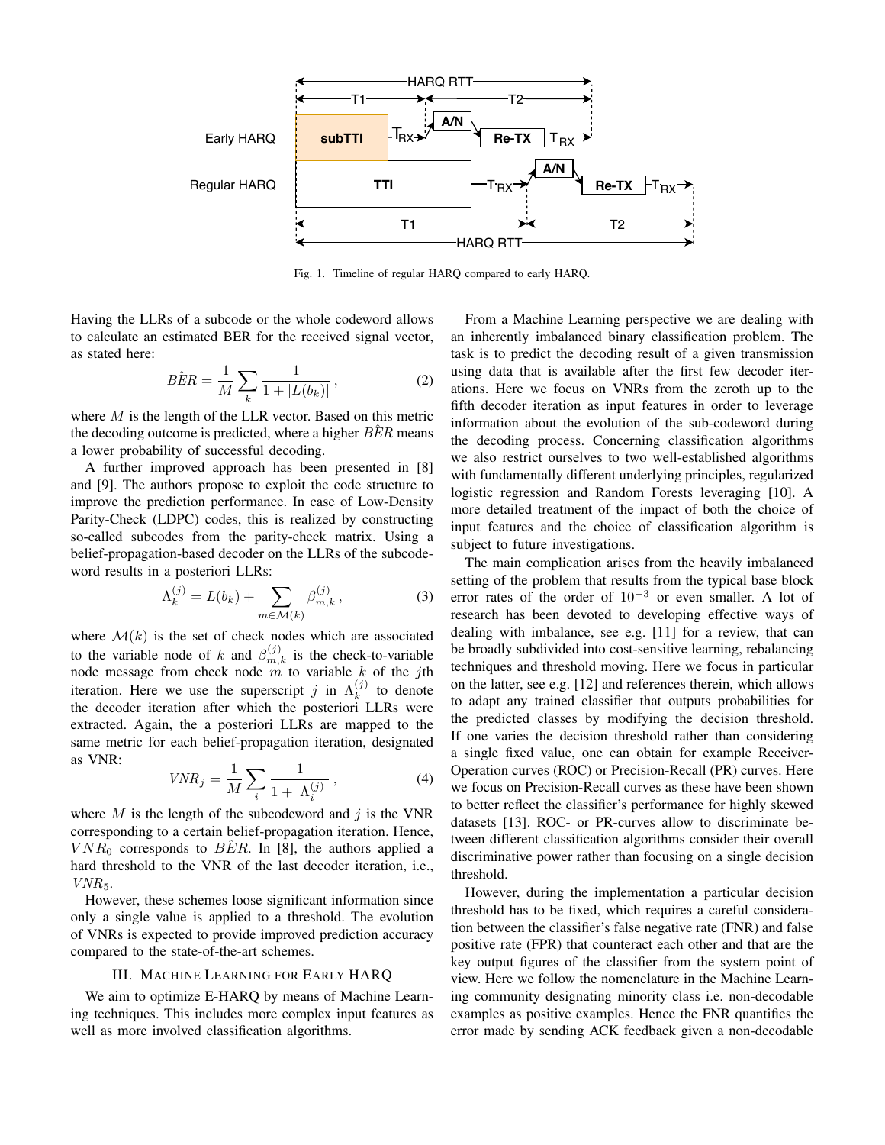

Fig. 1. Timeline of regular HARQ compared to early HARQ.

Having the LLRs of a subcode or the whole codeword allows to calculate an estimated BER for the received signal vector, as stated here:

$$
B\hat{E}R = \frac{1}{M} \sum_{k} \frac{1}{1 + |L(b_k)|},
$$
 (2)

where  $M$  is the length of the LLR vector. Based on this metric the decoding outcome is predicted, where a higher  $BER$  means a lower probability of successful decoding.

A further improved approach has been presented in [8] and [9]. The authors propose to exploit the code structure to improve the prediction performance. In case of Low-Density Parity-Check (LDPC) codes, this is realized by constructing so-called subcodes from the parity-check matrix. Using a belief-propagation-based decoder on the LLRs of the subcodeword results in a posteriori LLRs:

$$
\Lambda_k^{(j)} = L(b_k) + \sum_{m \in \mathcal{M}(k)} \beta_{m,k}^{(j)}, \qquad (3)
$$

where  $\mathcal{M}(k)$  is the set of check nodes which are associated to the variable node of k and  $\beta_{m,k}^{(j)}$  is the check-to-variable node message from check node m to variable k of the jth iteration. Here we use the superscript j in  $\Lambda_k^{(j)}$  $\frac{1}{k}$  to denote the decoder iteration after which the posteriori LLRs were extracted. Again, the a posteriori LLRs are mapped to the same metric for each belief-propagation iteration, designated as VNR:

$$
VNR_j = \frac{1}{M} \sum_{i} \frac{1}{1 + |\Lambda_i^{(j)}|},\tag{4}
$$

where  $M$  is the length of the subcodeword and j is the VNR corresponding to a certain belief-propagation iteration. Hence,  $VNR_0$  corresponds to BER. In [8], the authors applied a hard threshold to the VNR of the last decoder iteration, i.e.,  $VNR_5$ .

However, these schemes loose significant information since only a single value is applied to a threshold. The evolution of VNRs is expected to provide improved prediction accuracy compared to the state-of-the-art schemes.

## III. MACHINE LEARNING FOR EARLY HARQ

We aim to optimize E-HARQ by means of Machine Learning techniques. This includes more complex input features as well as more involved classification algorithms.

From a Machine Learning perspective we are dealing with an inherently imbalanced binary classification problem. The task is to predict the decoding result of a given transmission using data that is available after the first few decoder iterations. Here we focus on VNRs from the zeroth up to the fifth decoder iteration as input features in order to leverage information about the evolution of the sub-codeword during the decoding process. Concerning classification algorithms we also restrict ourselves to two well-established algorithms with fundamentally different underlying principles, regularized logistic regression and Random Forests leveraging [10]. A more detailed treatment of the impact of both the choice of input features and the choice of classification algorithm is subject to future investigations.

The main complication arises from the heavily imbalanced setting of the problem that results from the typical base block error rates of the order of  $10^{-3}$  or even smaller. A lot of research has been devoted to developing effective ways of dealing with imbalance, see e.g. [11] for a review, that can be broadly subdivided into cost-sensitive learning, rebalancing techniques and threshold moving. Here we focus in particular on the latter, see e.g. [12] and references therein, which allows to adapt any trained classifier that outputs probabilities for the predicted classes by modifying the decision threshold. If one varies the decision threshold rather than considering a single fixed value, one can obtain for example Receiver-Operation curves (ROC) or Precision-Recall (PR) curves. Here we focus on Precision-Recall curves as these have been shown to better reflect the classifier's performance for highly skewed datasets [13]. ROC- or PR-curves allow to discriminate between different classification algorithms consider their overall discriminative power rather than focusing on a single decision threshold.

However, during the implementation a particular decision threshold has to be fixed, which requires a careful consideration between the classifier's false negative rate (FNR) and false positive rate (FPR) that counteract each other and that are the key output figures of the classifier from the system point of view. Here we follow the nomenclature in the Machine Learning community designating minority class i.e. non-decodable examples as positive examples. Hence the FNR quantifies the error made by sending ACK feedback given a non-decodable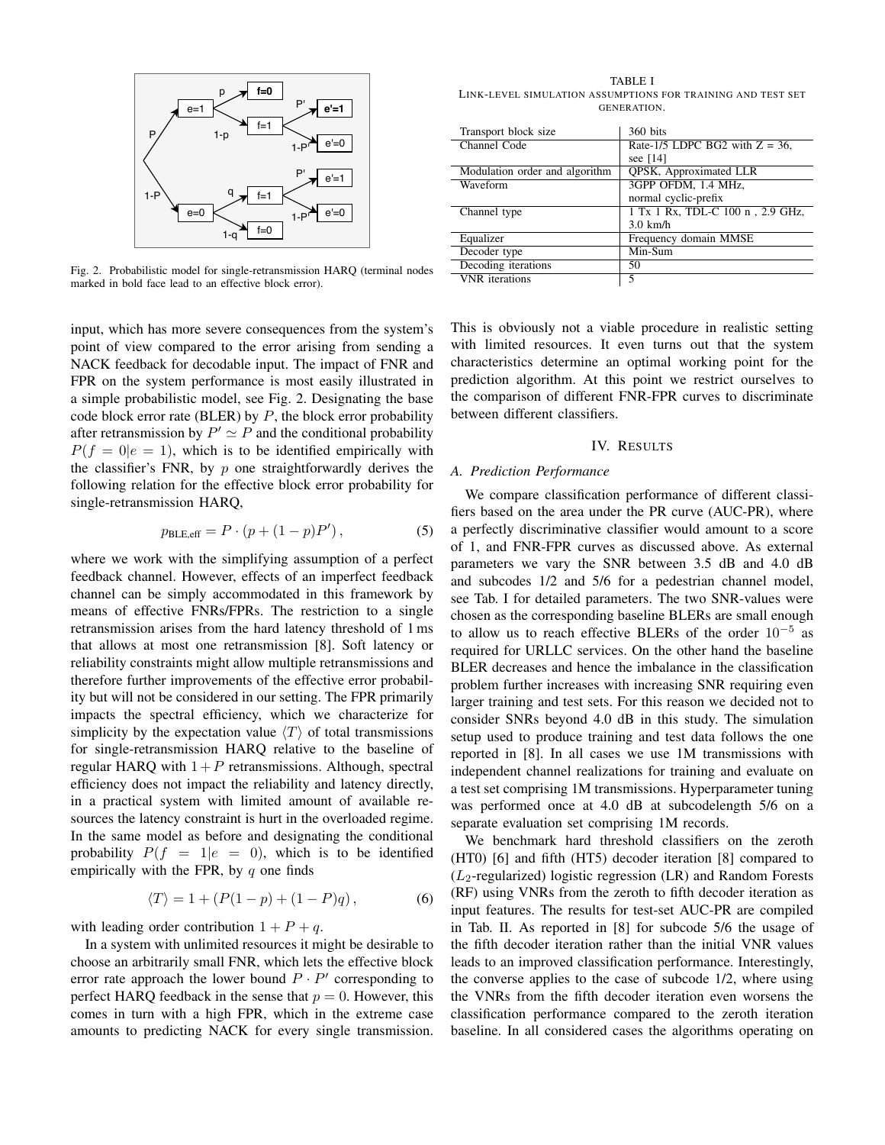

Fig. 2. Probabilistic model for single-retransmission HARQ (terminal nodes marked in bold face lead to an effective block error).

input, which has more severe consequences from the system's point of view compared to the error arising from sending a NACK feedback for decodable input. The impact of FNR and FPR on the system performance is most easily illustrated in a simple probabilistic model, see Fig. 2. Designating the base code block error rate (BLER) by  $P$ , the block error probability after retransmission by  $P' \simeq P$  and the conditional probability  $P(f = 0|e = 1)$ , which is to be identified empirically with the classifier's FNR, by  $p$  one straightforwardly derives the following relation for the effective block error probability for single-retransmission HARQ,

$$
p_{\text{BLE,eff}} = P \cdot (p + (1 - p)P'),\tag{5}
$$

where we work with the simplifying assumption of a perfect feedback channel. However, effects of an imperfect feedback channel can be simply accommodated in this framework by means of effective FNRs/FPRs. The restriction to a single retransmission arises from the hard latency threshold of 1 ms that allows at most one retransmission [8]. Soft latency or reliability constraints might allow multiple retransmissions and therefore further improvements of the effective error probability but will not be considered in our setting. The FPR primarily impacts the spectral efficiency, which we characterize for simplicity by the expectation value  $\langle T \rangle$  of total transmissions for single-retransmission HARQ relative to the baseline of regular HARO with  $1 + P$  retransmissions. Although, spectral efficiency does not impact the reliability and latency directly, in a practical system with limited amount of available resources the latency constraint is hurt in the overloaded regime. In the same model as before and designating the conditional probability  $P(f = 1|e = 0)$ , which is to be identified empirically with the FPR, by  $q$  one finds

$$
\langle T \rangle = 1 + (P(1 - p) + (1 - P)q), \tag{6}
$$

with leading order contribution  $1 + P + q$ .

In a system with unlimited resources it might be desirable to choose an arbitrarily small FNR, which lets the effective block error rate approach the lower bound  $P \cdot P'$  corresponding to perfect HARO feedback in the sense that  $p = 0$ . However, this comes in turn with a high FPR, which in the extreme case amounts to predicting NACK for every single transmission.

TABLE I LINK-LEVEL SIMULATION ASSUMPTIONS FOR TRAINING AND TEST SET GENERATION.

| Transport block size           | 360 bits                          |  |
|--------------------------------|-----------------------------------|--|
| Channel Code                   | Rate-1/5 LDPC BG2 with $Z = 36$ , |  |
|                                | see $[14]$                        |  |
| Modulation order and algorithm | <b>OPSK, Approximated LLR</b>     |  |
| Waveform                       | 3GPP OFDM, 1.4 MHz,               |  |
|                                | normal cyclic-prefix              |  |
| Channel type                   | 1 Tx 1 Rx, TDL-C 100 n, 2.9 GHz,  |  |
|                                | $3.0$ km/h                        |  |
| Equalizer                      | Frequency domain MMSE             |  |
| Decoder type                   | Min-Sum                           |  |
| Decoding iterations            | 50                                |  |
| <b>VNR</b> iterations          | 5                                 |  |

This is obviously not a viable procedure in realistic setting with limited resources. It even turns out that the system characteristics determine an optimal working point for the prediction algorithm. At this point we restrict ourselves to the comparison of different FNR-FPR curves to discriminate between different classifiers.

#### IV. RESULTS

## *A. Prediction Performance*

We compare classification performance of different classifiers based on the area under the PR curve (AUC-PR), where a perfectly discriminative classifier would amount to a score of 1, and FNR-FPR curves as discussed above. As external parameters we vary the SNR between 3.5 dB and 4.0 dB and subcodes 1/2 and 5/6 for a pedestrian channel model, see Tab. I for detailed parameters. The two SNR-values were chosen as the corresponding baseline BLERs are small enough to allow us to reach effective BLERs of the order  $10^{-5}$  as required for URLLC services. On the other hand the baseline BLER decreases and hence the imbalance in the classification problem further increases with increasing SNR requiring even larger training and test sets. For this reason we decided not to consider SNRs beyond 4.0 dB in this study. The simulation setup used to produce training and test data follows the one reported in [8]. In all cases we use 1M transmissions with independent channel realizations for training and evaluate on a test set comprising 1M transmissions. Hyperparameter tuning was performed once at 4.0 dB at subcodelength 5/6 on a separate evaluation set comprising 1M records.

We benchmark hard threshold classifiers on the zeroth (HT0) [6] and fifth (HT5) decoder iteration [8] compared to  $(L_2$ -regularized) logistic regression (LR) and Random Forests (RF) using VNRs from the zeroth to fifth decoder iteration as input features. The results for test-set AUC-PR are compiled in Tab. II. As reported in [8] for subcode 5/6 the usage of the fifth decoder iteration rather than the initial VNR values leads to an improved classification performance. Interestingly, the converse applies to the case of subcode 1/2, where using the VNRs from the fifth decoder iteration even worsens the classification performance compared to the zeroth iteration baseline. In all considered cases the algorithms operating on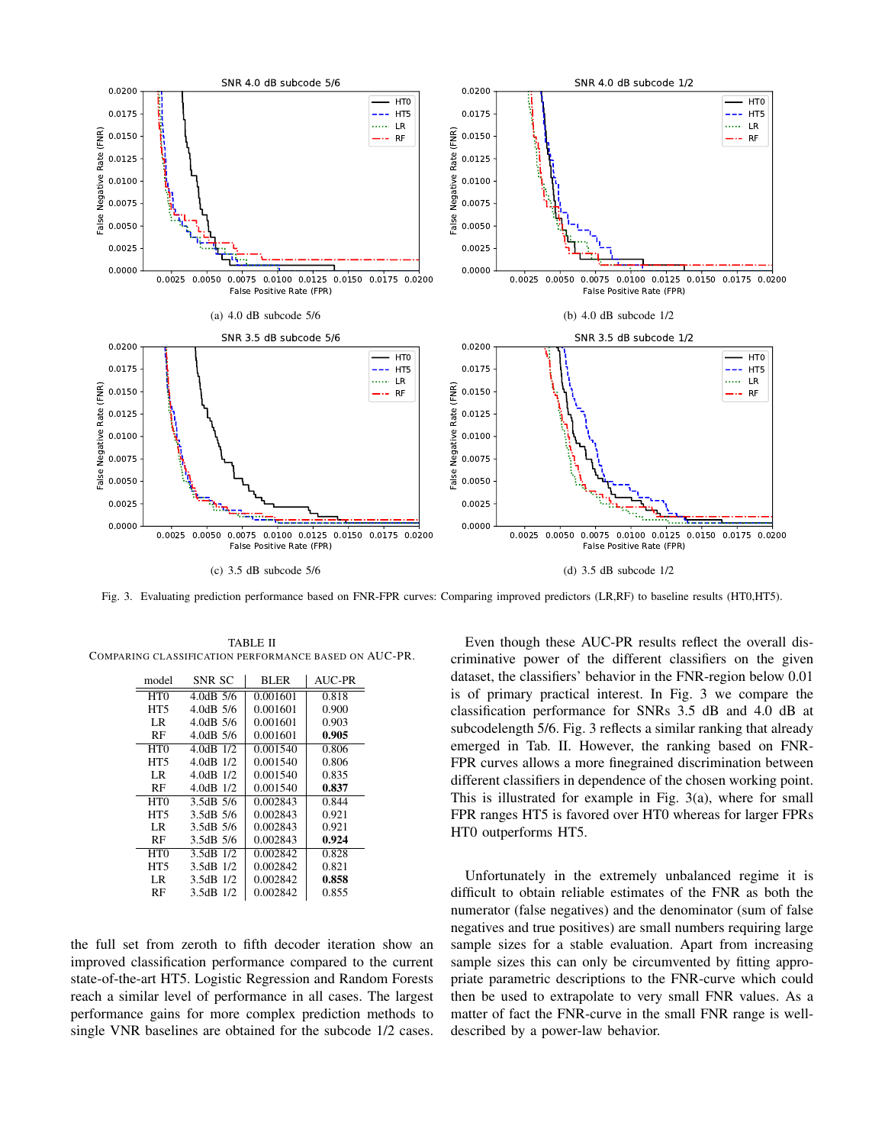

Fig. 3. Evaluating prediction performance based on FNR-FPR curves: Comparing improved predictors (LR,RF) to baseline results (HT0,HT5).

| model            | SNR SC        | <b>BLER</b> | AUC-PR |
|------------------|---------------|-------------|--------|
|                  |               |             |        |
| H <sub>T</sub> O | $4.0dB$ 5/6   | 0.001601    | 0.818  |
| HT <sub>5</sub>  | 4.0dB 5/6     | 0.001601    | 0.900  |
| LR               | $4.0dB$ 5/6   | 0.001601    | 0.903  |
| RF               | 4.0dB 5/6     | 0.001601    | 0.905  |
| HT <sub>0</sub>  | 4.0dB 1/2     | 0.001540    | 0.806  |
| HT <sub>5</sub>  | 4.0dB 1/2     | 0.001540    | 0.806  |
| LR               | $4.0dB$ 1/2   | 0.001540    | 0.835  |
| RF               | 4.0dB 1/2     | 0.001540    | 0.837  |
| HT <sub>0</sub>  | 3.5dB 5/6     | 0.002843    | 0.844  |
| HT <sub>5</sub>  | 3.5dB 5/6     | 0.002843    | 0.921  |
| LR               | 3.5dB 5/6     | 0.002843    | 0.921  |
| RF               | 3.5dB 5/6     | 0.002843    | 0.924  |
| H <sub>T</sub> O | $3.5dB$ $1/2$ | 0.002842    | 0.828  |
| HT5              | 3.5dB 1/2     | 0.002842    | 0.821  |
| LR               | 3.5dB 1/2     | 0.002842    | 0.858  |
| RF               | 3.5dB 1/2     | 0.002842    | 0.855  |

TABLE II COMPARING CLASSIFICATION PERFORMANCE BASED ON AUC-PR.

the full set from zeroth to fifth decoder iteration show an improved classification performance compared to the current state-of-the-art HT5. Logistic Regression and Random Forests reach a similar level of performance in all cases. The largest performance gains for more complex prediction methods to single VNR baselines are obtained for the subcode 1/2 cases.

Even though these AUC-PR results reflect the overall discriminative power of the different classifiers on the given dataset, the classifiers' behavior in the FNR-region below 0.01 is of primary practical interest. In Fig. 3 we compare the classification performance for SNRs 3.5 dB and 4.0 dB at subcodelength 5/6. Fig. 3 reflects a similar ranking that already emerged in Tab. II. However, the ranking based on FNR-FPR curves allows a more finegrained discrimination between different classifiers in dependence of the chosen working point. This is illustrated for example in Fig. 3(a), where for small FPR ranges HT5 is favored over HT0 whereas for larger FPRs HT0 outperforms HT5.

Unfortunately in the extremely unbalanced regime it is difficult to obtain reliable estimates of the FNR as both the numerator (false negatives) and the denominator (sum of false negatives and true positives) are small numbers requiring large sample sizes for a stable evaluation. Apart from increasing sample sizes this can only be circumvented by fitting appropriate parametric descriptions to the FNR-curve which could then be used to extrapolate to very small FNR values. As a matter of fact the FNR-curve in the small FNR range is welldescribed by a power-law behavior.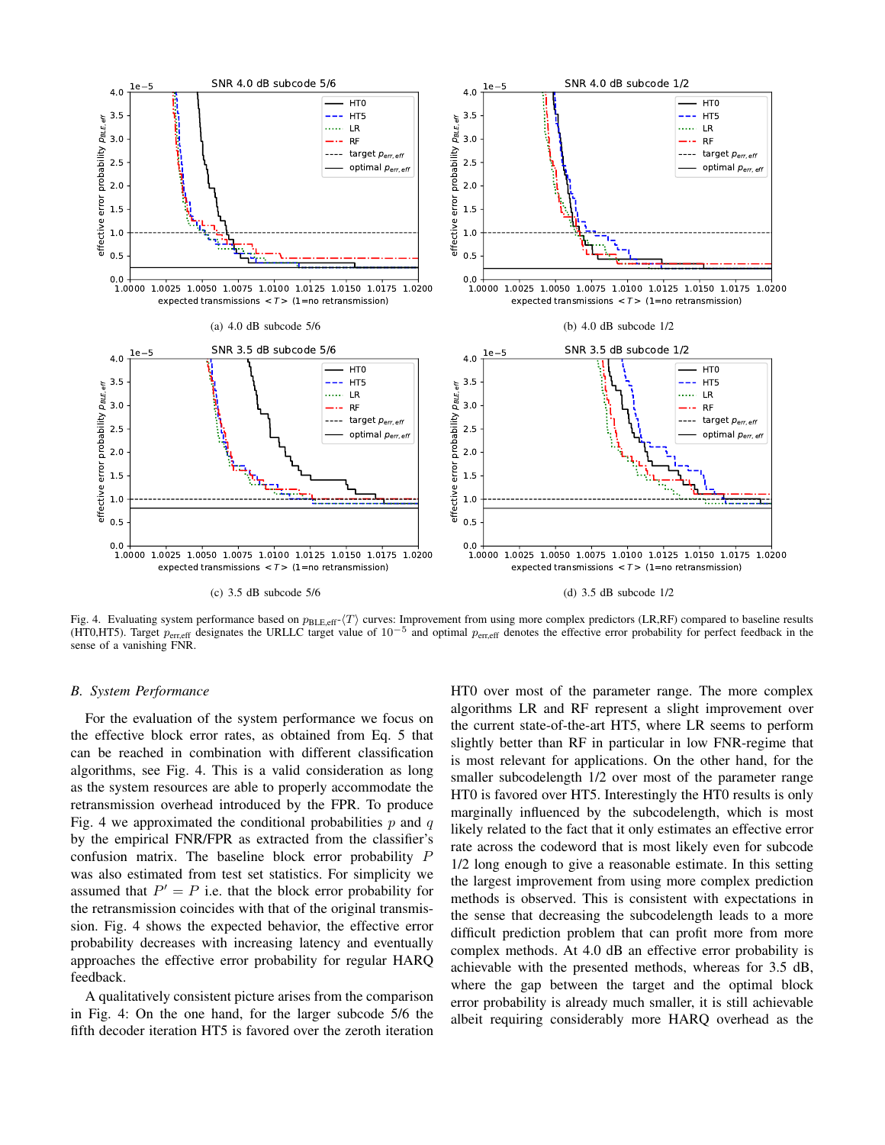

Fig. 4. Evaluating system performance based on  $p_{BLE, eff}$ - $\langle T \rangle$  curves: Improvement from using more complex predictors (LR,RF) compared to baseline results (HT0,HT5). Target  $p_{\text{en, eff}}$  designates the URLLC target value o sense of a vanishing FNR.

### *B. System Performance*

For the evaluation of the system performance we focus on the effective block error rates, as obtained from Eq. 5 that can be reached in combination with different classification algorithms, see Fig. 4. This is a valid consideration as long as the system resources are able to properly accommodate the retransmission overhead introduced by the FPR. To produce Fig. 4 we approximated the conditional probabilities  $p$  and  $q$ by the empirical FNR/FPR as extracted from the classifier's confusion matrix. The baseline block error probability P was also estimated from test set statistics. For simplicity we assumed that  $P' = P$  i.e. that the block error probability for the retransmission coincides with that of the original transmission. Fig. 4 shows the expected behavior, the effective error probability decreases with increasing latency and eventually approaches the effective error probability for regular HARQ feedback.

A qualitatively consistent picture arises from the comparison in Fig. 4: On the one hand, for the larger subcode 5/6 the fifth decoder iteration HT5 is favored over the zeroth iteration

HT0 over most of the parameter range. The more complex algorithms LR and RF represent a slight improvement over the current state-of-the-art HT5, where LR seems to perform slightly better than RF in particular in low FNR-regime that is most relevant for applications. On the other hand, for the smaller subcodelength 1/2 over most of the parameter range HT0 is favored over HT5. Interestingly the HT0 results is only marginally influenced by the subcodelength, which is most likely related to the fact that it only estimates an effective error rate across the codeword that is most likely even for subcode 1/2 long enough to give a reasonable estimate. In this setting the largest improvement from using more complex prediction methods is observed. This is consistent with expectations in the sense that decreasing the subcodelength leads to a more difficult prediction problem that can profit more from more complex methods. At 4.0 dB an effective error probability is achievable with the presented methods, whereas for 3.5 dB, where the gap between the target and the optimal block error probability is already much smaller, it is still achievable albeit requiring considerably more HARQ overhead as the